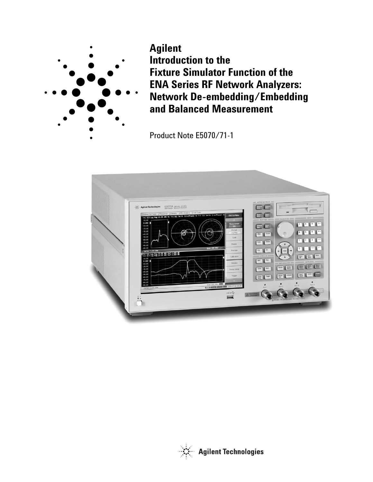

**Agilent Introduction to the Fixture Simulator Function of the ENA Series RF Network Analyzers: Network De-embedding/Embedding and Balanced Measurement**

Product Note E5070/71-1



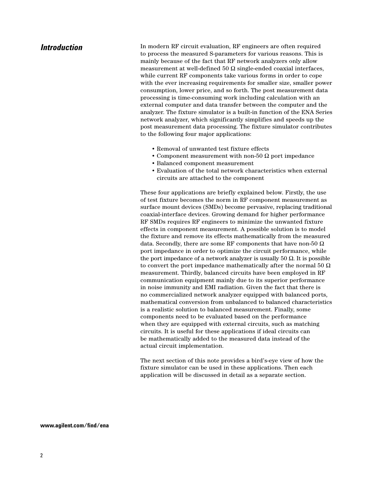# *Introduction*

In modern RF circuit evaluation, RF engineers are often required to process the measured S-parameters for various reasons. This is mainly because of the fact that RF network analyzers only allow measurement at well-defined 50  $\Omega$  single-ended coaxial interfaces, while current RF components take various forms in order to cope with the ever increasing requirements for smaller size, smaller power consumption, lower price, and so forth. The post measurement data processing is time-consuming work including calculation with an external computer and data transfer between the computer and the analyzer. The fixture simulator is a built-in function of the ENA Series network analyzer, which significantly simplifies and speeds up the post measurement data processing. The fixture simulator contributes to the following four major applications:

- Removal of unwanted test fixture effects
- Component measurement with non-50  $\Omega$  port impedance
- Balanced component measurement
- Evaluation of the total network characteristics when external circuits are attached to the component

These four applications are briefly explained below. Firstly, the use of test fixture becomes the norm in RF component measurement as surface mount devices (SMDs) become pervasive, replacing traditional coaxial-interface devices. Growing demand for higher performance RF SMDs requires RF engineers to minimize the unwanted fixture effects in component measurement. A possible solution is to model the fixture and remove its effects mathematically from the measured data. Secondly, there are some RF components that have non-50  $\Omega$ port impedance in order to optimize the circuit performance, while the port impedance of a network analyzer is usually 50  $Ω$ . It is possible to convert the port impedance mathematically after the normal 50  $\Omega$ measurement. Thirdly, balanced circuits have been employed in RF communication equipment mainly due to its superior performance in noise immunity and EMI radiation. Given the fact that there is no commercialized network analyzer equipped with balanced ports, mathematical conversion from unbalanced to balanced characteristics is a realistic solution to balanced measurement. Finally, some components need to be evaluated based on the performance when they are equipped with external circuits, such as matching circuits. It is useful for these applications if ideal circuits can be mathematically added to the measured data instead of the actual circuit implementation.

The next section of this note provides a bird's-eye view of how the fixture simulator can be used in these applications. Then each application will be discussed in detail as a separate section.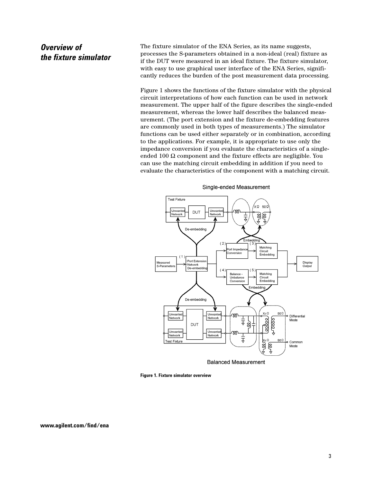# *Overview of the fixture simulator*

The fixture simulator of the ENA Series, as its name suggests, processes the S-parameters obtained in a non-ideal (real) fixture as if the DUT were measured in an ideal fixture. The fixture simulator, with easy to use graphical user interface of the ENA Series, significantly reduces the burden of the post measurement data processing.

Figure 1 shows the functions of the fixture simulator with the physical circuit interpretations of how each function can be used in network measurement. The upper half of the figure describes the single-ended measurement, whereas the lower half describes the balanced measurement. (The port extension and the fixture de-embedding features are commonly used in both types of measurements.) The simulator functions can be used either separately or in combination, according to the applications. For example, it is appropriate to use only the impedance conversion if you evaluate the characteristics of a singleended 100  $\Omega$  component and the fixture effects are negligible. You can use the matching circuit embedding in addition if you need to evaluate the characteristics of the component with a matching circuit.



Single-ended Measurement

**Figure 1. Fixture simulator overview**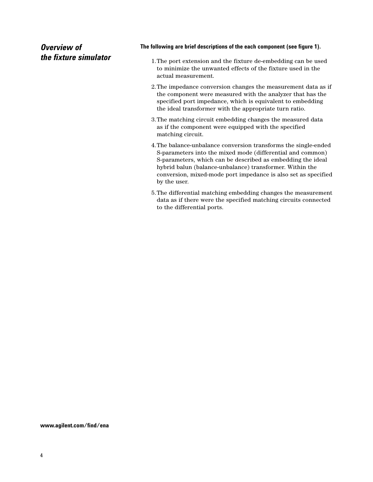# *Overview of the fixture simulator*

## **The following are brief descriptions of the each component (see figure 1).**

- 1.The port extension and the fixture de-embedding can be used to minimize the unwanted effects of the fixture used in the actual measurement.
- 2.The impedance conversion changes the measurement data as if the component were measured with the analyzer that has the specified port impedance, which is equivalent to embedding the ideal transformer with the appropriate turn ratio.
- 3.The matching circuit embedding changes the measured data as if the component were equipped with the specified matching circuit.
- 4.The balance-unbalance conversion transforms the single-ended S-parameters into the mixed mode (differential and common) S-parameters, which can be described as embedding the ideal hybrid balun (balance-unbalance) transformer. Within the conversion, mixed-mode port impedance is also set as specified by the user.
- 5.The differential matching embedding changes the measurement data as if there were the specified matching circuits connected to the differential ports.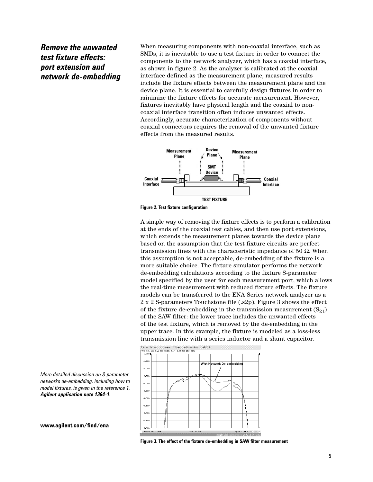*Remove the unwanted test fixture effects: port extension and network de-embedding* When measuring components with non-coaxial interface, such as SMDs, it is inevitable to use a test fixture in order to connect the components to the network analyzer, which has a coaxial interface, as shown in figure 2. As the analyzer is calibrated at the coaxial interface defined as the measurement plane, measured results include the fixture effects between the measurement plane and the device plane. It is essential to carefully design fixtures in order to minimize the fixture effects for accurate measurement. However, fixtures inevitably have physical length and the coaxial to noncoaxial interface transition often induces unwanted effects. Accordingly, accurate characterization of components without coaxial connectors requires the removal of the unwanted fixture effects from the measured results.





A simple way of removing the fixture effects is to perform a calibration at the ends of the coaxial test cables, and then use port extensions, which extends the measurement planes towards the device plane based on the assumption that the test fixture circuits are perfect transmission lines with the characteristic impedance of 50 Ω. When this assumption is not acceptable, de-embedding of the fixture is a more suitable choice. The fixture simulator performs the network de-embedding calculations according to the fixture S-parameter model specified by the user for each measurement port, which allows the real-time measurement with reduced fixture effects. The fixture models can be transferred to the ENA Series network analyzer as a 2 x 2 S-parameters Touchstone file (.s2p). Figure 3 shows the effect of the fixture de-embedding in the transmission measurement  $(S_{21})$ of the SAW filter: the lower trace includes the unwanted effects of the test fixture, which is removed by the de-embedding in the upper trace. In this example, the fixture is modeled as a loss-less transmission line with a series inductor and a shunt capacitor.



*More detailed discussion on S-parameter networks de-embedding, including how to model fixtures, is given in the reference 1, Agilent application note 1364-1.*

**Figure 3. The effect of the fixture de-embedding in SAW filter measurement**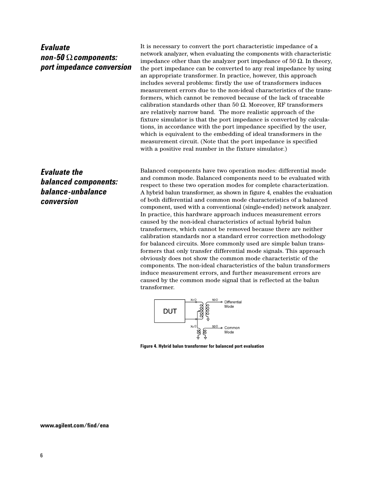# *Evaluate non-50* Ω*components: port impedance conversion*

It is necessary to convert the port characteristic impedance of a network analyzer, when evaluating the components with characteristic impedance other than the analyzer port impedance of 50  $\Omega$ . In theory, the port impedance can be converted to any real impedance by using an appropriate transformer. In practice, however, this approach includes several problems: firstly the use of transformers induces measurement errors due to the non-ideal characteristics of the transformers, which cannot be removed because of the lack of traceable calibration standards other than 50 Ω. Moreover, RF transformers are relatively narrow band. The more realistic approach of the fixture simulator is that the port impedance is converted by calculations, in accordance with the port impedance specified by the user, which is equivalent to the embedding of ideal transformers in the measurement circuit. (Note that the port impedance is specified with a positive real number in the fixture simulator.)

*Evaluate the balanced components: balance-unbalance conversion*

Balanced components have two operation modes: differential mode and common mode. Balanced components need to be evaluated with respect to these two operation modes for complete characterization. A hybrid balun transformer, as shown in figure 4, enables the evaluation of both differential and common mode characteristics of a balanced component, used with a conventional (single-ended) network analyzer. In practice, this hardware approach induces measurement errors caused by the non-ideal characteristics of actual hybrid balun transformers, which cannot be removed because there are neither calibration standards nor a standard error correction methodology for balanced circuits. More commonly used are simple balun transformers that only transfer differential mode signals. This approach obviously does not show the common mode characteristic of the components. The non-ideal characteristics of the balun transformers induce measurement errors, and further measurement errors are caused by the common mode signal that is reflected at the balun transformer.



**Figure 4. Hybrid balun transformer for balanced port evaluation**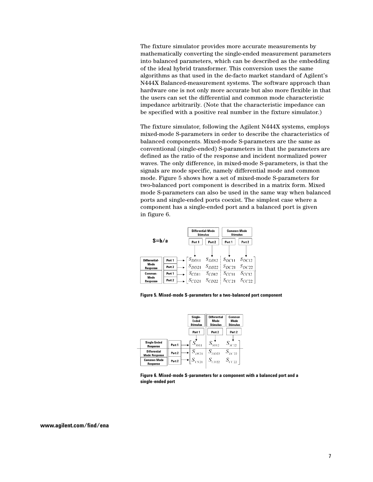The fixture simulator provides more accurate measurements by mathematically converting the single-ended measurement parameters into balanced parameters, which can be described as the embedding of the ideal hybrid transformer. This conversion uses the same algorithms as that used in the de-facto market standard of Agilent's N444X Balanced-measurement systems. The software approach than hardware one is not only more accurate but also more flexible in that the users can set the differential and common mode characteristic impedance arbitrarily. (Note that the characteristic impedance can be specified with a positive real number in the fixture simulator.)

The fixture simulator, following the Agilent N444X systems, employs mixed-mode S-parameters in order to describe the characteristics of balanced components. Mixed-mode S-parameters are the same as conventional (single-ended) S-parameters in that the parameters are defined as the ratio of the response and incident normalized power waves. The only difference, in mixed-mode S-parameters, is that the signals are mode specific, namely differential mode and common mode. Figure 5 shows how a set of mixed-mode S-parameters for two-balanced port component is described in a matrix form. Mixed mode S-parameters can also be used in the same way when balanced ports and single-ended ports coexist. The simplest case where a component has a single-ended port and a balanced port is given in figure 6.



**Figure 5. Mixed-mode S-parameters for a two-balanced port component**

|                                |                   | Single-<br>Ended<br><b>Stimulus</b> | <b>Differential</b><br>Mode<br><b>Stimulus</b> | Common<br>Made<br><b>Stimulus</b> |
|--------------------------------|-------------------|-------------------------------------|------------------------------------------------|-----------------------------------|
|                                |                   | Port 1                              | Part 2                                         | Port 2                            |
| Single Ended<br>Response       | Part 1            | $S_{\rm SSE}$                       | $S_{SD12}$                                     | $S_{\text{SCD}}$                  |
| Differential<br>Mode Response  | Port <sub>2</sub> | $S_{DS21}$                          | $S_{DD22}$                                     | $S_{D C 22}$                      |
| <b>Common Mode</b><br>Response | Part <sub>2</sub> | $\left  S_{CS21} \right $           | $S_{CD22}$ $S_{CC22}$                          |                                   |

**Figure 6. Mixed-mode S-parameters for a component with a balanced port and a single-ended port**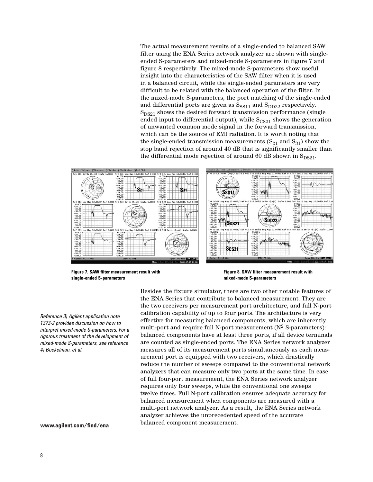The actual measurement results of a single-ended to balanced SAW filter using the ENA Series network analyzer are shown with singleended S-parameters and mixed-mode S-parameters in figure 7 and figure 8 respectively. The mixed-mode S-parameters show useful insight into the characteristics of the SAW filter when it is used in a balanced circuit, while the single-ended parameters are very difficult to be related with the balanced operation of the filter. In the mixed-mode S-parameters, the port matching of the single-ended and differential ports are given as  $S_{SS11}$  and  $S_{DD22}$  respectively.  $S_{DS21}$  shows the desired forward transmission performance (single ended input to differential output), while  $S_{CS21}$  shows the generation of unwanted common mode signal in the forward transmission, which can be the source of EMI radiation. It is worth noting that the single-ended transmission measurements  $(S_{21}$  and  $S_{31})$  show the stop band rejection of around 40 dB that is significantly smaller than the differential mode rejection of around 60 dB shown in  $S_{DS21}$ .



**Figure 7. SAW filter measurement result with single-ended S-parameters**

**Figure 8. SAW filter measurement result with mixed-mode S-parameters**

*Reference 3) Agilent application note 1373-2 provides discussion on how to interpret mixed-mode S-parameters. For a rigorous treatment of the development of mixed-mode S-parameters, see reference 4) Bockelman, et al.*

**www.agilent.com/find/ena**

Besides the fixture simulator, there are two other notable features of the ENA Series that contribute to balanced measurement. They are the two receivers per measurement port architecture, and full N-port calibration capability of up to four ports. The architecture is very effective for measuring balanced components, which are inherently multi-port and require full N-port measurement  $(N^2 S$ -parameters): balanced components have at least three ports, if all device terminals are counted as single-ended ports. The ENA Series network analyzer measures all of its measurement ports simultaneously as each measurement port is equipped with two receivers, which drastically reduce the number of sweeps compared to the conventional network analyzers that can measure only two ports at the same time. In case of full four-port measurement, the ENA Series network analyzer requires only four sweeps, while the conventional one sweeps twelve times. Full N-port calibration ensures adequate accuracy for balanced measurement when components are measured with a multi-port network analyzer. As a result, the ENA Series network analyzer achieves the unprecedented speed of the accurate balanced component measurement.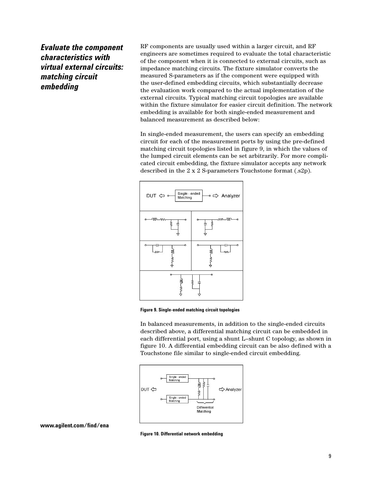*Evaluate the component characteristics with virtual external circuits: matching circuit embedding*

RF components are usually used within a larger circuit, and RF engineers are sometimes required to evaluate the total characteristic of the component when it is connected to external circuits, such as impedance matching circuits. The fixture simulator converts the measured S-parameters as if the component were equipped with the user-defined embedding circuits, which substantially decrease the evaluation work compared to the actual implementation of the external circuits. Typical matching circuit topologies are available within the fixture simulator for easier circuit definition. The network embedding is available for both single-ended measurement and balanced measurement as described below:

In single-ended measurement, the users can specify an embedding circuit for each of the measurement ports by using the pre-defined matching circuit topologies listed in figure 9, in which the values of the lumped circuit elements can be set arbitrarily. For more complicated circuit embedding, the fixture simulator accepts any network described in the 2 x 2 S-parameters Touchstone format (.s2p).



**Figure 9. Single-ended matching circuit topologies**

In balanced measurements, in addition to the single-ended circuits described above, a differential matching circuit can be embedded in each differential port, using a shunt L–shunt C topology, as shown in figure 10. A differential embedding circuit can be also defined with a Touchstone file similar to single-ended circuit embedding.



**Figure 10. Differential network embedding**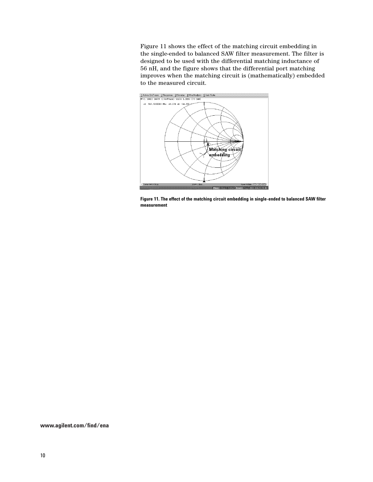Figure 11 shows the effect of the matching circuit embedding in the single-ended to balanced SAW filter measurement. The filter is designed to be used with the differential matching inductance of 56 nH, and the figure shows that the differential port matching improves when the matching circuit is (mathematically) embedded to the measured circuit.



**Figure 11. The effect of the matching circuit embedding in single-ended to balanced SAW filter measurement**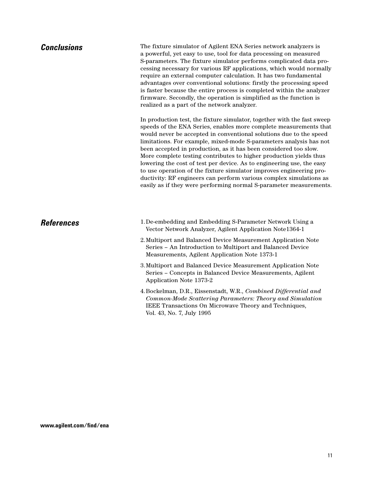| <b>Conclusions</b> | The fixture simulator of Agilent ENA Series network analyzers is<br>a powerful, yet easy to use, tool for data processing on measured<br>S-parameters. The fixture simulator performs complicated data pro-<br>cessing necessary for various RF applications, which would normally<br>require an external computer calculation. It has two fundamental<br>advantages over conventional solutions: firstly the processing speed<br>is faster because the entire process is completed within the analyzer<br>firmware. Secondly, the operation is simplified as the function is<br>realized as a part of the network analyzer.                                                                                                   |  |  |
|--------------------|--------------------------------------------------------------------------------------------------------------------------------------------------------------------------------------------------------------------------------------------------------------------------------------------------------------------------------------------------------------------------------------------------------------------------------------------------------------------------------------------------------------------------------------------------------------------------------------------------------------------------------------------------------------------------------------------------------------------------------|--|--|
|                    | In production test, the fixture simulator, together with the fast sweep<br>speeds of the ENA Series, enables more complete measurements that<br>would never be accepted in conventional solutions due to the speed<br>limitations. For example, mixed-mode S-parameters analysis has not<br>been accepted in production, as it has been considered too slow.<br>More complete testing contributes to higher production yields thus<br>lowering the cost of test per device. As to engineering use, the easy<br>to use operation of the fixture simulator improves engineering pro-<br>ductivity: RF engineers can perform various complex simulations as<br>easily as if they were performing normal S-parameter measurements. |  |  |
| <b>References</b>  | 1. De-embedding and Embedding S-Parameter Network Using a<br>Vector Network Analyzer, Agilent Application Note1364-1                                                                                                                                                                                                                                                                                                                                                                                                                                                                                                                                                                                                           |  |  |
|                    | 2. Multiport and Balanced Device Measurement Application Note<br>Series - An Introduction to Multiport and Balanced Device<br>Measurements, Agilent Application Note 1373-1                                                                                                                                                                                                                                                                                                                                                                                                                                                                                                                                                    |  |  |
|                    | 3. Multiport and Balanced Device Measurement Application Note<br>Series - Concepts in Balanced Device Measurements, Agilent<br>Application Note 1373-2                                                                                                                                                                                                                                                                                                                                                                                                                                                                                                                                                                         |  |  |
|                    | 4. Bockelman, D.R., Eissenstadt, W.R., Combined Differential and<br>Common-Mode Scattering Parameters: Theory and Simulation<br>IEEE Transactions On Microwave Theory and Techniques,<br>Vol. 43, No. 7, July 1995                                                                                                                                                                                                                                                                                                                                                                                                                                                                                                             |  |  |